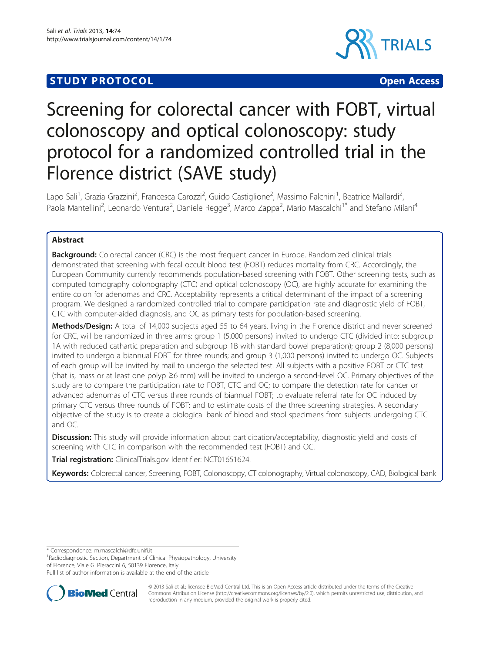## **STUDY PROTOCOL CONSUMING THE CONSUMING OPEN ACCESS**



# Screening for colorectal cancer with FOBT, virtual colonoscopy and optical colonoscopy: study protocol for a randomized controlled trial in the Florence district (SAVE study)

Lapo Sali<sup>1</sup>, Grazia Grazzini<sup>2</sup>, Francesca Carozzi<sup>2</sup>, Guido Castiglione<sup>2</sup>, Massimo Falchini<sup>1</sup>, Beatrice Mallardi<sup>2</sup> , Paola Mantellini<sup>2</sup>, Leonardo Ventura<sup>2</sup>, Daniele Regge<sup>3</sup>, Marco Zappa<sup>2</sup>, Mario Mascalchi<sup>1\*</sup> and Stefano Milani<sup>4</sup>

## Abstract

Background: Colorectal cancer (CRC) is the most frequent cancer in Europe. Randomized clinical trials demonstrated that screening with fecal occult blood test (FOBT) reduces mortality from CRC. Accordingly, the European Community currently recommends population-based screening with FOBT. Other screening tests, such as computed tomography colonography (CTC) and optical colonoscopy (OC), are highly accurate for examining the entire colon for adenomas and CRC. Acceptability represents a critical determinant of the impact of a screening program. We designed a randomized controlled trial to compare participation rate and diagnostic yield of FOBT, CTC with computer-aided diagnosis, and OC as primary tests for population-based screening.

Methods/Design: A total of 14,000 subjects aged 55 to 64 years, living in the Florence district and never screened for CRC, will be randomized in three arms: group 1 (5,000 persons) invited to undergo CTC (divided into: subgroup 1A with reduced cathartic preparation and subgroup 1B with standard bowel preparation); group 2 (8,000 persons) invited to undergo a biannual FOBT for three rounds; and group 3 (1,000 persons) invited to undergo OC. Subjects of each group will be invited by mail to undergo the selected test. All subjects with a positive FOBT or CTC test (that is, mass or at least one polyp ≥6 mm) will be invited to undergo a second-level OC. Primary objectives of the study are to compare the participation rate to FOBT, CTC and OC; to compare the detection rate for cancer or advanced adenomas of CTC versus three rounds of biannual FOBT; to evaluate referral rate for OC induced by primary CTC versus three rounds of FOBT; and to estimate costs of the three screening strategies. A secondary objective of the study is to create a biological bank of blood and stool specimens from subjects undergoing CTC and OC.

Discussion: This study will provide information about participation/acceptability, diagnostic yield and costs of screening with CTC in comparison with the recommended test (FOBT) and OC.

Trial registration: ClinicalTrials.gov Identifier: [NCT01651624](http://www.clinicaltrials.gov/NCT01651624/).

Keywords: Colorectal cancer, Screening, FOBT, Colonoscopy, CT colonography, Virtual colonoscopy, CAD, Biological bank

\* Correspondence: [m.mascalchi@dfc.unifi.it](mailto:m.mascalchi@dfc.unifi.it) <sup>1</sup>

<sup>1</sup>Radiodiagnostic Section, Department of Clinical Physiopathology, University of Florence, Viale G. Pieraccini 6, 50139 Florence, Italy

Full list of author information is available at the end of the article



© 2013 Sali et al.; licensee BioMed Central Ltd. This is an Open Access article distributed under the terms of the Creative Commons Attribution License [\(http://creativecommons.org/licenses/by/2.0\)](http://www.cspo.it/), which permits unrestricted use, distribution, and reproduction in any medium, provided the original work is properly cited.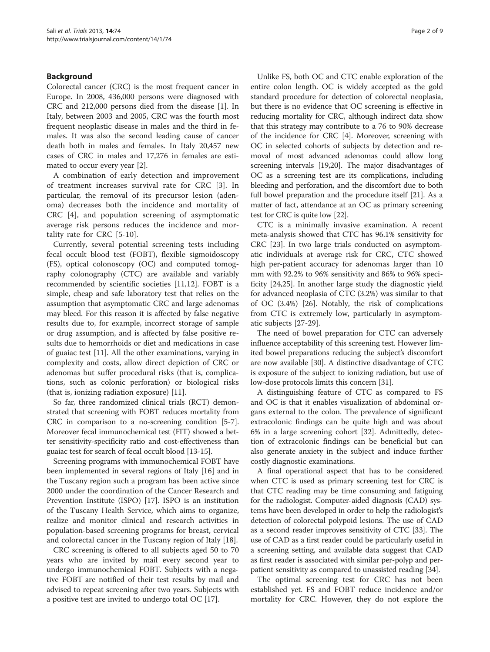## Background

Colorectal cancer (CRC) is the most frequent cancer in Europe. In 2008, 436,000 persons were diagnosed with CRC and 212,000 persons died from the disease [[1\]](#page-7-0). In Italy, between 2003 and 2005, CRC was the fourth most frequent neoplastic disease in males and the third in females. It was also the second leading cause of cancer death both in males and females. In Italy 20,457 new cases of CRC in males and 17,276 in females are estimated to occur every year [\[2](#page-7-0)].

A combination of early detection and improvement of treatment increases survival rate for CRC [[3\]](#page-7-0). In particular, the removal of its precursor lesion (adenoma) decreases both the incidence and mortality of CRC [\[4](#page-7-0)], and population screening of asymptomatic average risk persons reduces the incidence and mortality rate for CRC [[5-10\]](#page-7-0).

Currently, several potential screening tests including fecal occult blood test (FOBT), flexible sigmoidoscopy (FS), optical colonoscopy (OC) and computed tomography colonography (CTC) are available and variably recommended by scientific societies [\[11,12\]](#page-7-0). FOBT is a simple, cheap and safe laboratory test that relies on the assumption that asymptomatic CRC and large adenomas may bleed. For this reason it is affected by false negative results due to, for example, incorrect storage of sample or drug assumption, and is affected by false positive results due to hemorrhoids or diet and medications in case of guaiac test [[11\]](#page-7-0). All the other examinations, varying in complexity and costs, allow direct depiction of CRC or adenomas but suffer procedural risks (that is, complications, such as colonic perforation) or biological risks (that is, ionizing radiation exposure) [\[11](#page-7-0)].

So far, three randomized clinical trials (RCT) demonstrated that screening with FOBT reduces mortality from CRC in comparison to a no-screening condition [\[5](#page-7-0)-[7](#page-7-0)]. Moreover fecal immunochemical test (FIT) showed a better sensitivity-specificity ratio and cost-effectiveness than guaiac test for search of fecal occult blood [\[13-15\]](#page-7-0).

Screening programs with immunochemical FOBT have been implemented in several regions of Italy [[16\]](#page-7-0) and in the Tuscany region such a program has been active since 2000 under the coordination of the Cancer Research and Prevention Institute (ISPO) [[17\]](#page-7-0). ISPO is an institution of the Tuscany Health Service, which aims to organize, realize and monitor clinical and research activities in population-based screening programs for breast, cervical and colorectal cancer in the Tuscany region of Italy [\[18\]](#page-7-0).

CRC screening is offered to all subjects aged 50 to 70 years who are invited by mail every second year to undergo immunochemical FOBT. Subjects with a negative FOBT are notified of their test results by mail and advised to repeat screening after two years. Subjects with a positive test are invited to undergo total OC [[17](#page-7-0)].

Unlike FS, both OC and CTC enable exploration of the entire colon length. OC is widely accepted as the gold standard procedure for detection of colorectal neoplasia, but there is no evidence that OC screening is effective in reducing mortality for CRC, although indirect data show that this strategy may contribute to a 76 to 90% decrease of the incidence for CRC [\[4\]](#page-7-0). Moreover, screening with OC in selected cohorts of subjects by detection and removal of most advanced adenomas could allow long screening intervals [[19,20](#page-7-0)]. The major disadvantages of OC as a screening test are its complications, including bleeding and perforation, and the discomfort due to both full bowel preparation and the procedure itself [[21](#page-7-0)]. As a matter of fact, attendance at an OC as primary screening test for CRC is quite low [[22\]](#page-7-0).

CTC is a minimally invasive examination. A recent meta-analysis showed that CTC has 96.1% sensitivity for CRC [\[23](#page-7-0)]. In two large trials conducted on asymptomatic individuals at average risk for CRC, CTC showed high per-patient accuracy for adenomas larger than 10 mm with 92.2% to 96% sensitivity and 86% to 96% specificity [\[24,25](#page-7-0)]. In another large study the diagnostic yield for advanced neoplasia of CTC (3.2%) was similar to that of OC (3.4%) [[26\]](#page-8-0). Notably, the risk of complications from CTC is extremely low, particularly in asymptomatic subjects [[27-29](#page-8-0)].

The need of bowel preparation for CTC can adversely influence acceptability of this screening test. However limited bowel preparations reducing the subject's discomfort are now available [\[30\]](#page-8-0). A distinctive disadvantage of CTC is exposure of the subject to ionizing radiation, but use of low-dose protocols limits this concern [\[31\]](#page-8-0).

A distinguishing feature of CTC as compared to FS and OC is that it enables visualization of abdominal organs external to the colon. The prevalence of significant extracolonic findings can be quite high and was about 6% in a large screening cohort [\[32\]](#page-8-0). Admittedly, detection of extracolonic findings can be beneficial but can also generate anxiety in the subject and induce further costly diagnostic examinations.

A final operational aspect that has to be considered when CTC is used as primary screening test for CRC is that CTC reading may be time consuming and fatiguing for the radiologist. Computer-aided diagnosis (CAD) systems have been developed in order to help the radiologist's detection of colorectal polypoid lesions. The use of CAD as a second reader improves sensitivity of CTC [\[33](#page-8-0)]. The use of CAD as a first reader could be particularly useful in a screening setting, and available data suggest that CAD as first reader is associated with similar per-polyp and perpatient sensitivity as compared to unassisted reading [\[34\]](#page-8-0).

The optimal screening test for CRC has not been established yet. FS and FOBT reduce incidence and/or mortality for CRC. However, they do not explore the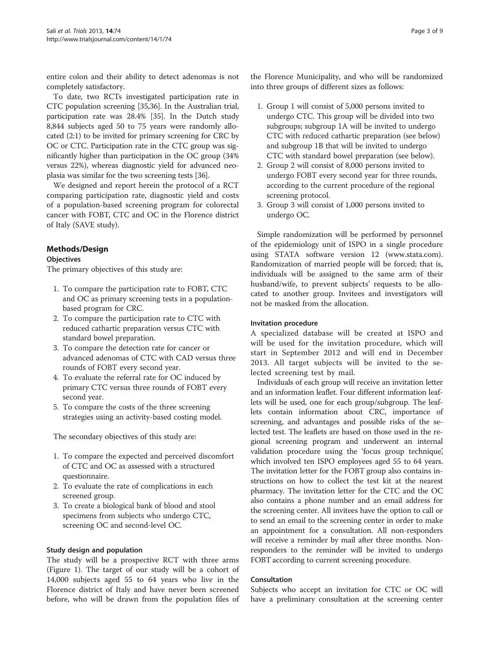entire colon and their ability to detect adenomas is not completely satisfactory.

To date, two RCTs investigated participation rate in CTC population screening [\[35,36\]](#page-8-0). In the Australian trial, participation rate was 28.4% [\[35\]](#page-8-0). In the Dutch study 8,844 subjects aged 50 to 75 years were randomly allocated (2:1) to be invited for primary screening for CRC by OC or CTC. Participation rate in the CTC group was significantly higher than participation in the OC group (34% versus 22%), whereas diagnostic yield for advanced neoplasia was similar for the two screening tests [\[36\]](#page-8-0).

We designed and report herein the protocol of a RCT comparing participation rate, diagnostic yield and costs of a population-based screening program for colorectal cancer with FOBT, CTC and OC in the Florence district of Italy (SAVE study).

## Methods/Design

## **Objectives**

The primary objectives of this study are:

- 1. To compare the participation rate to FOBT, CTC and OC as primary screening tests in a populationbased program for CRC.
- 2. To compare the participation rate to CTC with reduced cathartic preparation versus CTC with standard bowel preparation.
- 3. To compare the detection rate for cancer or advanced adenomas of CTC with CAD versus three rounds of FOBT every second year.
- 4. To evaluate the referral rate for OC induced by primary CTC versus three rounds of FOBT every second year.
- 5. To compare the costs of the three screening strategies using an activity-based costing model.

The secondary objectives of this study are:

- 1. To compare the expected and perceived discomfort of CTC and OC as assessed with a structured questionnaire.
- 2. To evaluate the rate of complications in each screened group.
- 3. To create a biological bank of blood and stool specimens from subjects who undergo CTC, screening OC and second-level OC.

## Study design and population

The study will be a prospective RCT with three arms (Figure [1\)](#page-3-0). The target of our study will be a cohort of 14,000 subjects aged 55 to 64 years who live in the Florence district of Italy and have never been screened before, who will be drawn from the population files of the Florence Municipality, and who will be randomized into three groups of different sizes as follows:

- 1. Group 1 will consist of 5,000 persons invited to undergo CTC. This group will be divided into two subgroups; subgroup 1A will be invited to undergo CTC with reduced cathartic preparation (see below) and subgroup 1B that will be invited to undergo CTC with standard bowel preparation (see below).
- 2. Group 2 will consist of 8,000 persons invited to undergo FOBT every second year for three rounds, according to the current procedure of the regional screening protocol.
- 3. Group 3 will consist of 1,000 persons invited to undergo OC.

Simple randomization will be performed by personnel of the epidemiology unit of ISPO in a single procedure using STATA software version 12 ([www.stata.com](http://www.stata.com)). Randomization of married people will be forced; that is, individuals will be assigned to the same arm of their husband/wife, to prevent subjects' requests to be allocated to another group. Invitees and investigators will not be masked from the allocation.

#### Invitation procedure

A specialized database will be created at ISPO and will be used for the invitation procedure, which will start in September 2012 and will end in December 2013. All target subjects will be invited to the selected screening test by mail.

Individuals of each group will receive an invitation letter and an information leaflet. Four different information leaflets will be used, one for each group/subgroup. The leaflets contain information about CRC, importance of screening, and advantages and possible risks of the selected test. The leaflets are based on those used in the regional screening program and underwent an internal validation procedure using the 'focus group technique', which involved ten ISPO employees aged 55 to 64 years. The invitation letter for the FOBT group also contains instructions on how to collect the test kit at the nearest pharmacy. The invitation letter for the CTC and the OC also contains a phone number and an email address for the screening center. All invitees have the option to call or to send an email to the screening center in order to make an appointment for a consultation. All non-responders will receive a reminder by mail after three months. Nonresponders to the reminder will be invited to undergo FOBT according to current screening procedure.

#### Consultation

Subjects who accept an invitation for CTC or OC will have a preliminary consultation at the screening center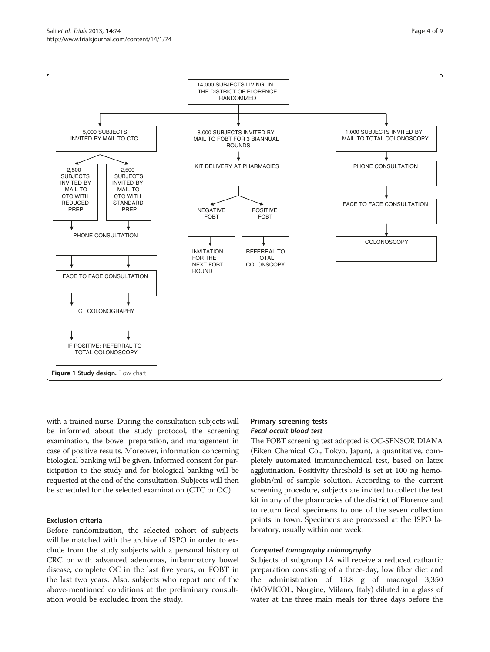<span id="page-3-0"></span>

with a trained nurse. During the consultation subjects will be informed about the study protocol, the screening examination, the bowel preparation, and management in case of positive results. Moreover, information concerning biological banking will be given. Informed consent for participation to the study and for biological banking will be requested at the end of the consultation. Subjects will then be scheduled for the selected examination (CTC or OC).

#### Exclusion criteria

Before randomization, the selected cohort of subjects will be matched with the archive of ISPO in order to exclude from the study subjects with a personal history of CRC or with advanced adenomas, inflammatory bowel disease, complete OC in the last five years, or FOBT in the last two years. Also, subjects who report one of the above-mentioned conditions at the preliminary consultation would be excluded from the study.

## Primary screening tests Fecal occult blood test

The FOBT screening test adopted is OC-SENSOR DIANA (Eiken Chemical Co., Tokyo, Japan), a quantitative, completely automated immunochemical test, based on latex agglutination. Positivity threshold is set at 100 ng hemoglobin/ml of sample solution. According to the current screening procedure, subjects are invited to collect the test kit in any of the pharmacies of the district of Florence and to return fecal specimens to one of the seven collection points in town. Specimens are processed at the ISPO laboratory, usually within one week.

## Computed tomography colonography

Subjects of subgroup 1A will receive a reduced cathartic preparation consisting of a three-day, low fiber diet and the administration of 13.8 g of macrogol 3,350 (MOVICOL, Norgine, Milano, Italy) diluted in a glass of water at the three main meals for three days before the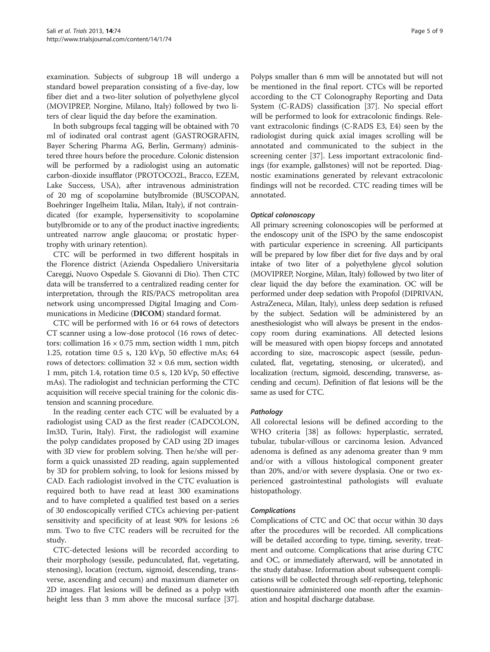examination. Subjects of subgroup 1B will undergo a standard bowel preparation consisting of a five-day, low fiber diet and a two-liter solution of polyethylene glycol (MOVIPREP, Norgine, Milano, Italy) followed by two liters of clear liquid the day before the examination.

In both subgroups fecal tagging will be obtained with 70 ml of iodinated oral contrast agent (GASTROGRAFIN, Bayer Schering Pharma AG, Berlin, Germany) administered three hours before the procedure. Colonic distension will be performed by a radiologist using an automatic carbon-dioxide insufflator (PROTOCO2L, Bracco, EZEM, Lake Success, USA), after intravenous administration of 20 mg of scopolamine butylbromide (BUSCOPAN, Boehringer Ingelheim Italia, Milan, Italy), if not contraindicated (for example, hypersensitivity to scopolamine butylbromide or to any of the product inactive ingredients; untreated narrow angle glaucoma; or prostatic hypertrophy with urinary retention).

CTC will be performed in two different hospitals in the Florence district (Azienda Ospedaliero Universitaria Careggi, Nuovo Ospedale S. Giovanni di Dio). Then CTC data will be transferred to a centralized reading center for interpretation, through the RIS/PACS metropolitan area network using uncompressed Digital Imaging and Communications in Medicine (DICOM) standard format.

CTC will be performed with 16 or 64 rows of detectors CT scanner using a low-dose protocol (16 rows of detectors: collimation  $16 \times 0.75$  mm, section width 1 mm, pitch 1.25, rotation time 0.5 s, 120 kVp, 50 effective mAs; 64 rows of detectors: collimation  $32 \times 0.6$  mm, section width 1 mm, pitch 1.4, rotation time 0.5 s, 120 kVp, 50 effective mAs). The radiologist and technician performing the CTC acquisition will receive special training for the colonic distension and scanning procedure.

In the reading center each CTC will be evaluated by a radiologist using CAD as the first reader (CADCOLON, Im3D, Turin, Italy). First, the radiologist will examine the polyp candidates proposed by CAD using 2D images with 3D view for problem solving. Then he/she will perform a quick unassisted 2D reading, again supplemented by 3D for problem solving, to look for lesions missed by CAD. Each radiologist involved in the CTC evaluation is required both to have read at least 300 examinations and to have completed a qualified test based on a series of 30 endoscopically verified CTCs achieving per-patient sensitivity and specificity of at least 90% for lesions ≥6 mm. Two to five CTC readers will be recruited for the study.

CTC-detected lesions will be recorded according to their morphology (sessile, pedunculated, flat, vegetating, stenosing), location (rectum, sigmoid, descending, transverse, ascending and cecum) and maximum diameter on 2D images. Flat lesions will be defined as a polyp with height less than 3 mm above the mucosal surface [\[37](#page-8-0)].

Polyps smaller than 6 mm will be annotated but will not be mentioned in the final report. CTCs will be reported according to the CT Colonography Reporting and Data System (C-RADS) classification [\[37\]](#page-8-0). No special effort will be performed to look for extracolonic findings. Relevant extracolonic findings (C-RADS E3, E4) seen by the radiologist during quick axial images scrolling will be annotated and communicated to the subject in the screening center [[37\]](#page-8-0). Less important extracolonic findings (for example, gallstones) will not be reported. Diagnostic examinations generated by relevant extracolonic findings will not be recorded. CTC reading times will be annotated.

#### Optical colonoscopy

All primary screening colonoscopies will be performed at the endoscopy unit of the ISPO by the same endoscopist with particular experience in screening. All participants will be prepared by low fiber diet for five days and by oral intake of two liter of a polyethylene glycol solution (MOVIPREP, Norgine, Milan, Italy) followed by two liter of clear liquid the day before the examination. OC will be performed under deep sedation with Propofol (DIPRIVAN, AstraZeneca, Milan, Italy), unless deep sedation is refused by the subject. Sedation will be administered by an anesthesiologist who will always be present in the endoscopy room during examinations. All detected lesions will be measured with open biopsy forceps and annotated according to size, macroscopic aspect (sessile, pedunculated, flat, vegetating, stenosing, or ulcerated), and localization (rectum, sigmoid, descending, transverse, ascending and cecum). Definition of flat lesions will be the same as used for CTC.

#### Pathology

All colorectal lesions will be defined according to the WHO criteria [[38](#page-8-0)] as follows: hyperplastic, serrated, tubular, tubular-villous or carcinoma lesion. Advanced adenoma is defined as any adenoma greater than 9 mm and/or with a villous histological component greater than 20%, and/or with severe dysplasia. One or two experienced gastrointestinal pathologists will evaluate histopathology.

#### Complications

Complications of CTC and OC that occur within 30 days after the procedures will be recorded. All complications will be detailed according to type, timing, severity, treatment and outcome. Complications that arise during CTC and OC, or immediately afterward, will be annotated in the study database. Information about subsequent complications will be collected through self-reporting, telephonic questionnaire administered one month after the examination and hospital discharge database.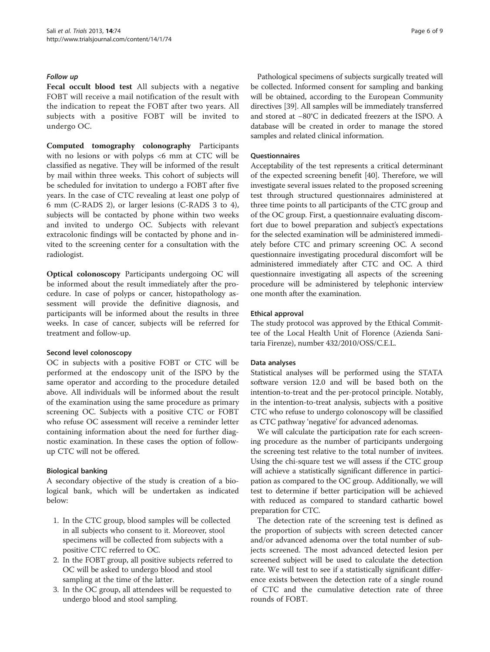## Follow up

Fecal occult blood test All subjects with a negative FOBT will receive a mail notification of the result with the indication to repeat the FOBT after two years. All subjects with a positive FOBT will be invited to undergo OC.

Computed tomography colonography Participants with no lesions or with polyps <6 mm at CTC will be classified as negative. They will be informed of the result by mail within three weeks. This cohort of subjects will be scheduled for invitation to undergo a FOBT after five years. In the case of CTC revealing at least one polyp of 6 mm (C-RADS 2), or larger lesions (C-RADS 3 to 4), subjects will be contacted by phone within two weeks and invited to undergo OC. Subjects with relevant extracolonic findings will be contacted by phone and invited to the screening center for a consultation with the radiologist.

Optical colonoscopy Participants undergoing OC will be informed about the result immediately after the procedure. In case of polyps or cancer, histopathology assessment will provide the definitive diagnosis, and participants will be informed about the results in three weeks. In case of cancer, subjects will be referred for treatment and follow-up.

## Second level colonoscopy

OC in subjects with a positive FOBT or CTC will be performed at the endoscopy unit of the ISPO by the same operator and according to the procedure detailed above. All individuals will be informed about the result of the examination using the same procedure as primary screening OC. Subjects with a positive CTC or FOBT who refuse OC assessment will receive a reminder letter containing information about the need for further diagnostic examination. In these cases the option of followup CTC will not be offered.

## Biological banking

A secondary objective of the study is creation of a biological bank, which will be undertaken as indicated below:

- 1. In the CTC group, blood samples will be collected in all subjects who consent to it. Moreover, stool specimens will be collected from subjects with a positive CTC referred to OC.
- 2. In the FOBT group, all positive subjects referred to OC will be asked to undergo blood and stool sampling at the time of the latter.
- 3. In the OC group, all attendees will be requested to undergo blood and stool sampling.

Pathological specimens of subjects surgically treated will be collected. Informed consent for sampling and banking will be obtained, according to the European Community directives [\[39\]](#page-8-0). All samples will be immediately transferred and stored at −80°C in dedicated freezers at the ISPO. A database will be created in order to manage the stored samples and related clinical information.

## **Questionnaires**

Acceptability of the test represents a critical determinant of the expected screening benefit [\[40](#page-8-0)]. Therefore, we will investigate several issues related to the proposed screening test through structured questionnaires administered at three time points to all participants of the CTC group and of the OC group. First, a questionnaire evaluating discomfort due to bowel preparation and subject's expectations for the selected examination will be administered immediately before CTC and primary screening OC. A second questionnaire investigating procedural discomfort will be administered immediately after CTC and OC. A third questionnaire investigating all aspects of the screening procedure will be administered by telephonic interview one month after the examination.

## Ethical approval

The study protocol was approved by the Ethical Committee of the Local Health Unit of Florence (Azienda Sanitaria Firenze), number 432/2010/OSS/C.E.L.

## Data analyses

Statistical analyses will be performed using the STATA software version 12.0 and will be based both on the intention-to-treat and the per-protocol principle. Notably, in the intention-to-treat analysis, subjects with a positive CTC who refuse to undergo colonoscopy will be classified as CTC pathway 'negative' for advanced adenomas.

We will calculate the participation rate for each screening procedure as the number of participants undergoing the screening test relative to the total number of invitees. Using the chi-square test we will assess if the CTC group will achieve a statistically significant difference in participation as compared to the OC group. Additionally, we will test to determine if better participation will be achieved with reduced as compared to standard cathartic bowel preparation for CTC.

The detection rate of the screening test is defined as the proportion of subjects with screen detected cancer and/or advanced adenoma over the total number of subjects screened. The most advanced detected lesion per screened subject will be used to calculate the detection rate. We will test to see if a statistically significant difference exists between the detection rate of a single round of CTC and the cumulative detection rate of three rounds of FOBT.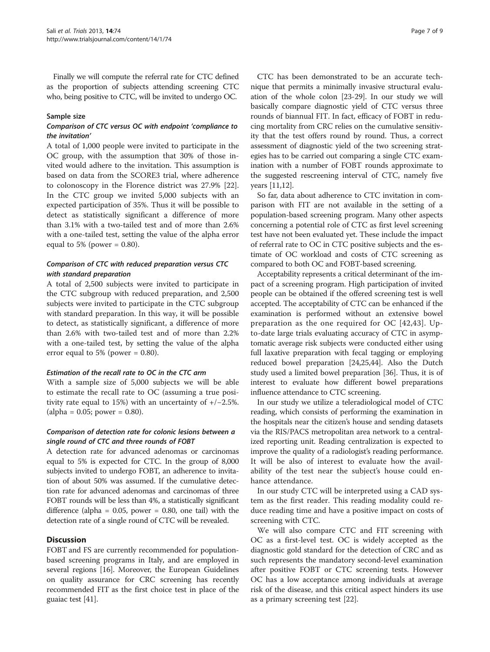Finally we will compute the referral rate for CTC defined as the proportion of subjects attending screening CTC who, being positive to CTC, will be invited to undergo OC.

#### Sample size

## Comparison of CTC versus OC with endpoint 'compliance to the invitation'

A total of 1,000 people were invited to participate in the OC group, with the assumption that 30% of those invited would adhere to the invitation. This assumption is based on data from the SCORE3 trial, where adherence to colonoscopy in the Florence district was 27.9% [\[22](#page-7-0)]. In the CTC group we invited 5,000 subjects with an expected participation of 35%. Thus it will be possible to detect as statistically significant a difference of more than 3.1% with a two-tailed test and of more than 2.6% with a one-tailed test, setting the value of the alpha error equal to 5% (power =  $0.80$ ).

## Comparison of CTC with reduced preparation versus CTC with standard preparation

A total of 2,500 subjects were invited to participate in the CTC subgroup with reduced preparation, and 2,500 subjects were invited to participate in the CTC subgroup with standard preparation. In this way, it will be possible to detect, as statistically significant, a difference of more than 2.6% with two-tailed test and of more than 2.2% with a one-tailed test, by setting the value of the alpha error equal to 5% (power  $= 0.80$ ).

## Estimation of the recall rate to OC in the CTC arm

With a sample size of 5,000 subjects we will be able to estimate the recall rate to OC (assuming a true positivity rate equal to 15%) with an uncertainty of +/−2.5%.  $\text{(alpha = } 0.05; \text{ power = } 0.80).$ 

## Comparison of detection rate for colonic lesions between a single round of CTC and three rounds of FOBT

A detection rate for advanced adenomas or carcinomas equal to 5% is expected for CTC. In the group of 8,000 subjects invited to undergo FOBT, an adherence to invitation of about 50% was assumed. If the cumulative detection rate for advanced adenomas and carcinomas of three FOBT rounds will be less than 4%, a statistically significant difference (alpha =  $0.05$ , power = 0.80, one tail) with the detection rate of a single round of CTC will be revealed.

## **Discussion**

FOBT and FS are currently recommended for populationbased screening programs in Italy, and are employed in several regions [\[16](#page-7-0)]. Moreover, the European Guidelines on quality assurance for CRC screening has recently recommended FIT as the first choice test in place of the guaiac test [\[41](#page-8-0)].

CTC has been demonstrated to be an accurate technique that permits a minimally invasive structural evaluation of the whole colon [\[23-](#page-7-0)[29\]](#page-8-0). In our study we will basically compare diagnostic yield of CTC versus three rounds of biannual FIT. In fact, efficacy of FOBT in reducing mortality from CRC relies on the cumulative sensitivity that the test offers round by round. Thus, a correct assessment of diagnostic yield of the two screening strategies has to be carried out comparing a single CTC examination with a number of FOBT rounds approximate to the suggested rescreening interval of CTC, namely five years [[11,12](#page-7-0)].

So far, data about adherence to CTC invitation in comparison with FIT are not available in the setting of a population-based screening program. Many other aspects concerning a potential role of CTC as first level screening test have not been evaluated yet. These include the impact of referral rate to OC in CTC positive subjects and the estimate of OC workload and costs of CTC screening as compared to both OC and FOBT-based screening.

Acceptability represents a critical determinant of the impact of a screening program. High participation of invited people can be obtained if the offered screening test is well accepted. The acceptability of CTC can be enhanced if the examination is performed without an extensive bowel preparation as the one required for OC [[42](#page-8-0),[43](#page-8-0)]. Upto-date large trials evaluating accuracy of CTC in asymptomatic average risk subjects were conducted either using full laxative preparation with fecal tagging or employing reduced bowel preparation [\[24,25](#page-7-0),[44](#page-8-0)]. Also the Dutch study used a limited bowel preparation [[36](#page-8-0)]. Thus, it is of interest to evaluate how different bowel preparations influence attendance to CTC screening.

In our study we utilize a teleradiological model of CTC reading, which consists of performing the examination in the hospitals near the citizen's house and sending datasets via the RIS/PACS metropolitan area network to a centralized reporting unit. Reading centralization is expected to improve the quality of a radiologist's reading performance. It will be also of interest to evaluate how the availability of the test near the subject's house could enhance attendance.

In our study CTC will be interpreted using a CAD system as the first reader. This reading modality could reduce reading time and have a positive impact on costs of screening with CTC.

We will also compare CTC and FIT screening with OC as a first-level test. OC is widely accepted as the diagnostic gold standard for the detection of CRC and as such represents the mandatory second-level examination after positive FOBT or CTC screening tests. However OC has a low acceptance among individuals at average risk of the disease, and this critical aspect hinders its use as a primary screening test [[22](#page-7-0)].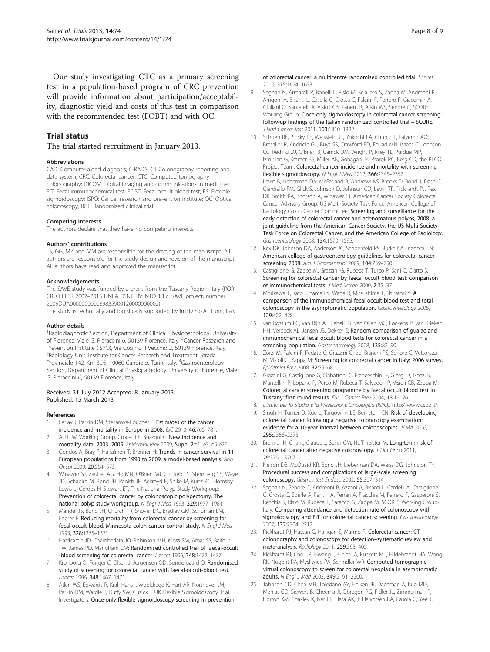<span id="page-7-0"></span>Our study investigating CTC as a primary screening test in a population-based program of CRC prevention will provide information about participation/acceptability, diagnostic yield and costs of this test in comparison with the recommended test (FOBT) and with OC.

## Trial status

The trial started recruitment in January 2013.

#### Abbreviations

CAD: Computer-aided diagnosis; C-RADS: CT Colonography reporting and data system; CRC: Colorectal cancer; CTC: Computed tomography colonography; DICOM: Digital imaging and communications in medicine; FIT: Fecal immunochemical test; FOBT: Fecal occult blood test; FS: Flexible sigmoidoscopy; ISPO: Cancer research and prevention institute; OC: Optical colonoscopy; RCT: Randomized clinical trial.

#### Competing interests

The authors declare that they have no competing interests.

#### Authors' contributions

LS, GG, MZ and MM are responsible for the drafting of the manuscript. All authors are responsible for the study design and revision of the manuscript. All authors have read and approved the manuscript.

#### Acknowledgements

The SAVE study was funded by a grant from the Tuscany Region, Italy (POR CREO FESR 2007–2013 LINEA D'INTERVENTO 1.1.c, SAVE project, number 2009DUA000000000089835900120000000002).

The study is technically and logistically supported by Im3D S.p.A., Turin, Italy.

#### Author details

<sup>1</sup> Radiodiagnostic Section, Department of Clinical Physiopathology, University of Florence, Viale G. Pieraccini 6, 50139 Florence, Italy. <sup>2</sup>Cancer Research and Prevention Institute (ISPO), Via Cosimo il Vecchio 2, 50139 Florence, Italy. <sup>3</sup>Radiology Unit, Institute for Cancer Research and Treatment, Strada Provinciale 142, Km 3,95, 10060 Candiolo, Turin, Italy. <sup>4</sup>Gastroenterology Section, Department of Clinical Physiopathology, University of Florence, Viale G. Pieraccini 6, 50139 Florence, Italy.

#### Received: 31 July 2012 Accepted: 8 January 2013 Published: 15 March 2013

#### References

- 1. Ferlay J, Parkin DM, Steliarova-Foucher E: Estimates of the cancer incidence and mortality in Europe in 2008. EJC 2010, 46:765-781.
- AIRTUM Working Group, Crocetti E, Buzzoni C: New incidence and mortality data. 2003–2005. Epidemiol Prev 2009, Suppl 2:e1–e3. e5-e26.
- 3. Gondos A, Bray F, Hakulinen T, Brenner H: Trends in cancer survival in 11 European populations from 1990 to 2009: a model-based analysis. Ann Oncol 2009, 20:564–573.
- 4. Winawer SJ, Zauber AG, Ho MN, O'Brien MJ, Gottlieb LS, Sternberg SS, Waye JD, Schapiro M, Bond JH, Panish JF, Ackroyd F, Shike M, Kurtz RC, Hornsby-Lewis L, Gerdes H, Stewart ET, The National Polyp Study Workgroup: Prevention of colorectal cancer by colonoscopic polypectomy. The national polyp study workgroup. N Engl J Med 1993, 329:1977–1981.
- 5. Mandel JS, Bond JH, Church TR, Snover DC, Bradley GM, Schuman LM, Ederer F: Reducing mortality from colorectal cancer by screening for fecal occult blood. Minnesota colon cancer control study. N Engl J Med 1993, 328:1365–1371.
- 6. Hardcastle JD, Chamberlain JO, Robinson MH, Moss SM, Amar SS, Balfour TW, James PD, Mangham CM: Randomised controlled trial of faecal-occult -blood screening for colorectal cancer. Lancet 1996, 348:1472–1477.
- 7. Kronborg O, Fenger C, Olsen J, Jorgensen OD, Sondergaard O: Randomised study of screening for colorectal cancer with faecal-occult-blood test. Lancet 1996, 348:1467–1471.
- Atkin WS, Edwards R, Kralj-Hans I, Wooldrage K, Hart AR, Northover JM, Parkin DM, Wardle J, Duffy SW, Cuzick J, UK Flexible Sigmoidoscopy Trial Investigators: Once-only flexible sigmoidoscopy screening in prevention

of colorectal cancer: a multicentre randomised controlled trial. Lancet 2010, 375:1624–1633.

- 9. Segnan N, Armaroli P, Bonelli L, Risio M, Sciallero S, Zappa M, Andreoni B, Arrigoni A, Bisanti L, Casella C, Crosta C, Falcini F, Ferrero F, Giacomin A, Giuliani O, Santarelli A, Visioli CB, Zanetti R, Atkin WS, Senore C, SCORE Working Group: Once-only sigmoidoscopy in colorectal cancer screening: follow-up findings of the Italian randomized controlled trial – SCORE. J Natl Cancer Inst 2011, 103:1310–1322.
- 10. Schoen RE, Pinsky PF, Weissfeld JL, Yokochi LA, Church T, Laiyemo AO, Bresalier R, Andriole GL, Buys SS, Crawford ED, Fouad MN, Isaacs C, Johnson CC, Reding DJ, O'Brien B, Carrick DM, Wright P, Riley TL, Purdue MP, Izmirlian G, Kramer BS, Miller AB, Gohagan JK, Prorok PC, Berg CD, the PLCO Project Team: Colorectal-cancer incidence and mortality with screening flexible sigmoidoscopy. N Engl J Med 2012, 366:2345–2357.
- 11. Levin B, Lieberman DA, McFarland B, Andrews KS, Brooks D, Bond J, Dash C, Giardiello FM, Glick S, Johnson D, Johnson CD, Levin TR, Pickhardt PJ, Rex DK, Smith RA, Thorson A, Winawer SJ, American Cancer Society Colorectal Cancer Advisory Group, US Multi-Society Task Force, American College of Radiology Colon Cancer Committee: Screening and surveillance for the early detection of colorectal cancer and adenomatous polyps, 2008: a joint guideline from the American Cancer Society, the US Multi-Society Task Force on Colorectal Cancer, and the American College of Radiology. Gastroenterology 2008, 134:1570–1595.
- 12. Rex DK, Johnson DA, Anderson JC, Schoenfeld PS, Burke CA, Inadomi JN: American college of gastroenterology guidelines for colorectal cancer screening 2008. Am J Gastroenterol 2009, 104:739–750.
- 13. Castiglione G, Zappa M, Grazzini G, Rubeca T, Turco P, Sani C, Ciatto S: Screening for colorectal cancer by faecal occult blood test: comparison of immunochemical tests. J Med Screen 2000, 7:35–37.
- 14. Morikawa T, Kato J, Yamaji Y, Wada R, Mitsushima T, Shiratori Y: A comparison of the immunochemical fecal occult blood test and total colonoscopy in the asymptomatic population. Gastroenterology 2005, 129:422–428.
- 15. van Rossum LG, van Rijn AF, Laheij RJ, van Oijen MG, Fockens P, van Krieken HH, Verbeek AL, Jansen JB, Dekker E: Random comparison of guaiac and immunochemical fecal occult blood tests for colorectal cancer in a screening population. Gastroenterology 2008, 135:82-90.
- 16. Zorzi M, Falcini F, Fedato C, Grazzini G, de' Bianchi PS, Senore C, Vettorazzi M, Visioli C, Zappa M: Screening for colorectal cancer in Italy: 2006 survey. Epidemiol Prev 2008, 32:55–68.
- 17. Grazzini G, Castiglione G, Ciabattoni C, Franceschini F, Giorgi D, Gozzi S, Mantellini P, Lopane P, Perco M, Rubeca T, Salvadori P, Visioli CB, Zappa M: Colorectal cancer screening programme by faecal occult blood test in Tuscany: first round results. Eur J Cancer Prev 2004, 13:19–26.
- 18. Istituto per lo Studio e la Prevenzione Oncologica (ISPO). [http://www.cspo.it/.](http://www.cspo.it/)
- 19. Singh H, Turner D, Xue L, Targownik LE, Bernstein CN: Risk of developing colorectal cancer following a negative colonoscopy examination: evidence for a 10-year interval between colonoscopies. JAMA 2006, 295:2366–2373.
- 20. Brenner H, Chang-Claude J, Seiler CM, Hoffmeister M: Long-term risk of colorectal cancer after negative colonoscopy. J Clin Onco 2011, 29:3761–3767.
- 21. Nelson DB, McQuaid KR, Bond JH, Lieberman DA, Weiss DG, Johnston TK: Procedural success and complications of large-scale screening colonoscopy. Gastrointest Endosc 2002, 55:307–314.
- 22. Segnan N, Senore C, Andreoni B, Azzoni A, Bisanti L, Cardelli A, Castiglione G, Crosta C, Ederle A, Fantin A, Ferrari A, Fracchia M, Ferrero F, Gasperoni S, Recchia S, Risio M, Rubeca T, Saracco G, Zappa M, SCORE3 Working Group-Italy: Comparing attendance and detection rate of colonoscopy with sigmoidoscopy and FIT for colorectal cancer screening. Gastroenterology 2007, 132:2304–2312.
- 23. Pickhardt PJ, Hassan C, Halligan S, Marmo R: Colorectal cancer: CT colonography and colonoscopy for detection–systematic review and meta-analysis. Radiology 2011, 259:393–405.
- 24. Pickhardt PJ, Choi JR, Hwang I, Butler JA, Puckett ML, Hildebrandt HA, Wong RK, Nugent PA, Mysliwiec PA, Schindler WR: Computed tomographic virtual colonoscopy to screen for colorectal neoplasia in asymptomatic adults. N Engl J Med 2003, 349:2191–2200.
- 25. Johnson CD, Chen MH, Toledano AY, Heiken JP, Dachman A, Kuo MD, Menias CO, Siewert B, Cheema JI, Obregon RG, Fidler JL, Zimmerman P, Horton KM, Coakley K, Iyer RB, Hara AK, Jr Halvorsen RA, Casola G, Yee J,